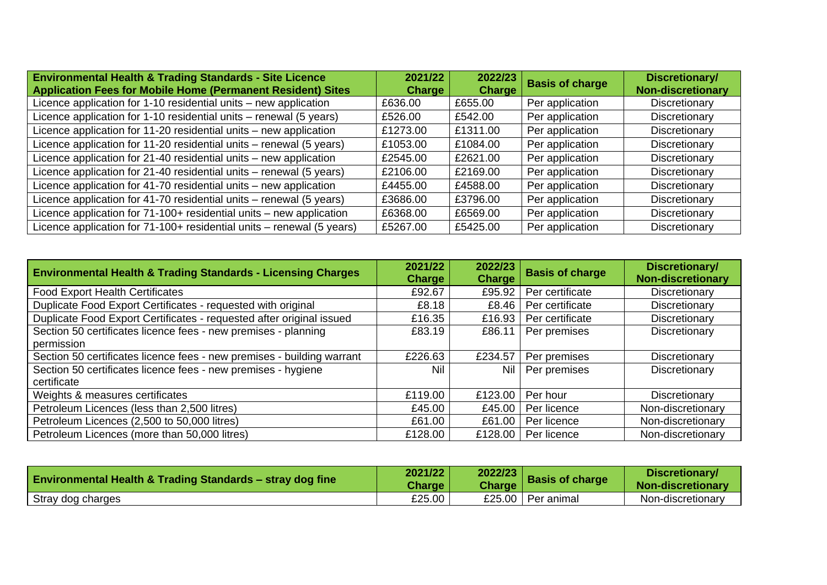| <b>Environmental Health &amp; Trading Standards - Site Licence</b><br><b>Application Fees for Mobile Home (Permanent Resident) Sites</b> | 2021/22<br><b>Charge</b> | 2022/23<br><b>Charge</b> | <b>Basis of charge</b> | Discretionary/<br><b>Non-discretionary</b> |
|------------------------------------------------------------------------------------------------------------------------------------------|--------------------------|--------------------------|------------------------|--------------------------------------------|
| Licence application for 1-10 residential units - new application                                                                         | £636.00                  | £655.00                  | Per application        | Discretionary                              |
| Licence application for 1-10 residential units – renewal (5 years)                                                                       | £526.00                  | £542.00                  | Per application        | Discretionary                              |
| Licence application for 11-20 residential units – new application                                                                        | £1273.00                 | £1311.00                 | Per application        | Discretionary                              |
| Licence application for 11-20 residential units – renewal (5 years)                                                                      | £1053.00                 | £1084.00                 | Per application        | Discretionary                              |
| Licence application for 21-40 residential units – new application                                                                        | £2545.00                 | £2621.00                 | Per application        | Discretionary                              |
| Licence application for 21-40 residential units – renewal (5 years)                                                                      | £2106.00                 | £2169.00                 | Per application        | Discretionary                              |
| Licence application for 41-70 residential units – new application                                                                        | £4455.00                 | £4588.00                 | Per application        | Discretionary                              |
| Licence application for 41-70 residential units - renewal (5 years)                                                                      | £3686.00                 | £3796.00                 | Per application        | Discretionary                              |
| Licence application for 71-100+ residential units – new application                                                                      | £6368.00                 | £6569.00                 | Per application        | Discretionary                              |
| Licence application for 71-100+ residential units - renewal (5 years)                                                                    | £5267.00                 | £5425.00                 | Per application        | Discretionary                              |

| <b>Environmental Health &amp; Trading Standards - Licensing Charges</b> | 2021/22<br><b>Charge</b> | 2022/23<br><b>Charge</b> | <b>Basis of charge</b> | Discretionary/<br><b>Non-discretionary</b> |
|-------------------------------------------------------------------------|--------------------------|--------------------------|------------------------|--------------------------------------------|
| <b>Food Export Health Certificates</b>                                  | £92.67                   | £95.92                   | Per certificate        | Discretionary                              |
| Duplicate Food Export Certificates - requested with original            | £8.18                    | £8.46                    | Per certificate        | Discretionary                              |
| Duplicate Food Export Certificates - requested after original issued    | £16.35                   | £16.93                   | Per certificate        | Discretionary                              |
| Section 50 certificates licence fees - new premises - planning          | £83.19                   | £86.11                   | Per premises           | Discretionary                              |
| permission                                                              |                          |                          |                        |                                            |
| Section 50 certificates licence fees - new premises - building warrant  | £226.63                  | £234.57                  | Per premises           | Discretionary                              |
| Section 50 certificates licence fees - new premises - hygiene           | Nil                      | Nil                      | Per premises           | Discretionary                              |
| certificate                                                             |                          |                          |                        |                                            |
| Weights & measures certificates                                         | £119.00                  | £123.00                  | Per hour               | Discretionary                              |
| Petroleum Licences (less than 2,500 litres)                             | £45.00                   | £45.00                   | Per licence            | Non-discretionary                          |
| Petroleum Licences (2,500 to 50,000 litres)                             | £61.00                   | £61.00                   | Per licence            | Non-discretionary                          |
| Petroleum Licences (more than 50,000 litres)                            | £128.00                  | £128.00                  | Per licence            | Non-discretionary                          |

| <b>Environmental Health &amp; Trading Standards – stray dog fine</b> | 2021/22<br>Charge | 2022/23<br><b>Charge</b> | <b>Basis of charge</b> | Discretionary/<br><b>Non-discretionary</b> |
|----------------------------------------------------------------------|-------------------|--------------------------|------------------------|--------------------------------------------|
| Stray dog charges                                                    | £25.00            |                          | £25.00   Per animal    | Non-discretionary                          |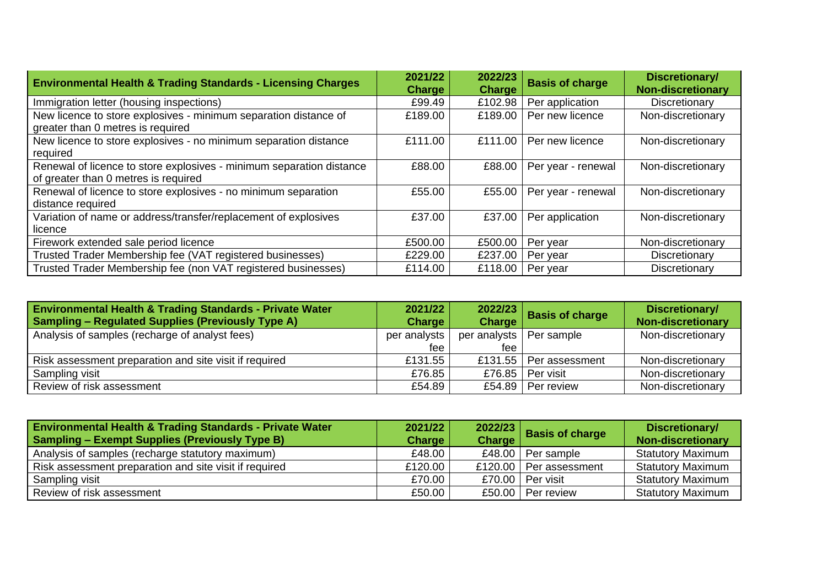| <b>Environmental Health &amp; Trading Standards - Licensing Charges</b>                                      | 2021/22<br><b>Charge</b> | 2022/23<br><b>Charge</b> | <b>Basis of charge</b> | Discretionary/<br><b>Non-discretionary</b> |
|--------------------------------------------------------------------------------------------------------------|--------------------------|--------------------------|------------------------|--------------------------------------------|
| Immigration letter (housing inspections)                                                                     | £99.49                   | £102.98                  | Per application        | Discretionary                              |
| New licence to store explosives - minimum separation distance of<br>greater than 0 metres is required        | £189.00                  | £189.00                  | Per new licence        | Non-discretionary                          |
| New licence to store explosives - no minimum separation distance<br>required                                 | £111.00                  | £111.00                  | Per new licence        | Non-discretionary                          |
| Renewal of licence to store explosives - minimum separation distance<br>of greater than 0 metres is required | £88.00                   | £88.00                   | Per year - renewal     | Non-discretionary                          |
| Renewal of licence to store explosives - no minimum separation<br>distance required                          | £55.00                   | £55.00                   | Per year - renewal     | Non-discretionary                          |
| Variation of name or address/transfer/replacement of explosives<br>licence                                   | £37.00                   | £37.00                   | Per application        | Non-discretionary                          |
| Firework extended sale period licence                                                                        | £500.00                  | £500.00                  | Per year               | Non-discretionary                          |
| Trusted Trader Membership fee (VAT registered businesses)                                                    | £229.00                  | £237.00                  | Per year               | Discretionary                              |
| Trusted Trader Membership fee (non VAT registered businesses)                                                | £114.00                  | £118.00                  | Per year               | Discretionary                              |

| <b>Environmental Health &amp; Trading Standards - Private Water</b><br><b>Sampling - Regulated Supplies (Previously Type A)</b> | 2021/22<br><b>Charge</b> | <b>Charge</b>             | 2022/23 Basis of charge  | Discretionary/<br><b>Non-discretionary</b> |
|---------------------------------------------------------------------------------------------------------------------------------|--------------------------|---------------------------|--------------------------|--------------------------------------------|
| Analysis of samples (recharge of analyst fees)                                                                                  | per analysts             | per analysts   Per sample |                          | Non-discretionary                          |
|                                                                                                                                 | fee                      | fee                       |                          |                                            |
| Risk assessment preparation and site visit if required                                                                          | £131.55                  |                           | £131.55   Per assessment | Non-discretionary                          |
| Sampling visit                                                                                                                  | £76.85                   | £76.85                    | Per visit                | Non-discretionary                          |
| Review of risk assessment                                                                                                       | £54.89                   |                           | £54.89   Per review      | Non-discretionary                          |

| <b>Environmental Health &amp; Trading Standards - Private Water</b><br><b>Sampling – Exempt Supplies (Previously Type B)</b> | 2021/22<br><b>Charge</b> | 2022/23 Basis of charge   | Discretionary/<br>Non-discretionary |
|------------------------------------------------------------------------------------------------------------------------------|--------------------------|---------------------------|-------------------------------------|
| Analysis of samples (recharge statutory maximum)                                                                             | £48.00                   | £48.00 $\vert$ Per sample | <b>Statutory Maximum</b>            |
| Risk assessment preparation and site visit if required                                                                       | £120.00                  | £120.00   Per assessment  | <b>Statutory Maximum</b>            |
| Sampling visit                                                                                                               | £70.00                   | £70.00 Per visit          | <b>Statutory Maximum</b>            |
| Review of risk assessment                                                                                                    | £50.00                   | £50.00 Per review         | <b>Statutory Maximum</b>            |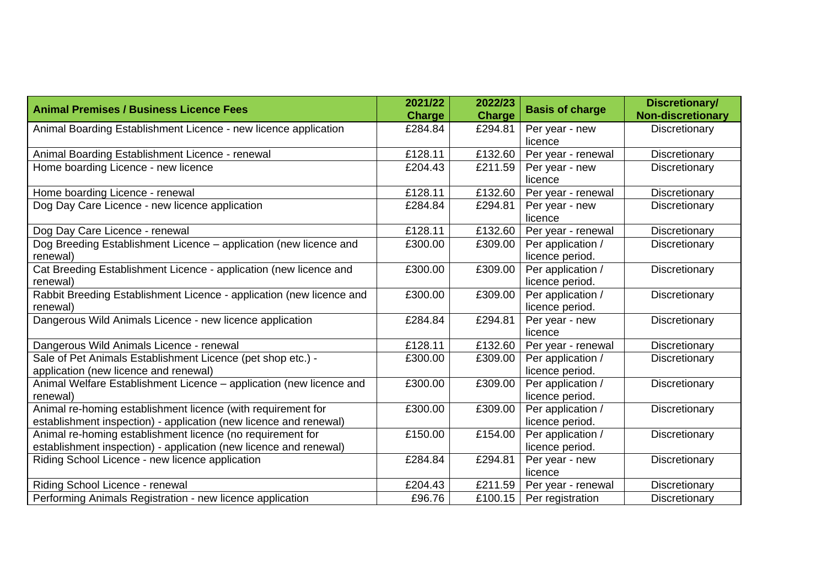| <b>Animal Premises / Business Licence Fees</b>                       | 2021/22<br><b>Charge</b> | 2022/23<br><b>Charge</b> | <b>Basis of charge</b> | Discretionary/<br><b>Non-discretionary</b> |
|----------------------------------------------------------------------|--------------------------|--------------------------|------------------------|--------------------------------------------|
| Animal Boarding Establishment Licence - new licence application      | £284.84                  | £294.81                  | Per year - new         | Discretionary                              |
|                                                                      |                          |                          | licence                |                                            |
| Animal Boarding Establishment Licence - renewal                      | £128.11                  | £132.60                  | Per year - renewal     | Discretionary                              |
| Home boarding Licence - new licence                                  | £204.43                  | £211.59                  | Per year - new         | Discretionary                              |
|                                                                      |                          |                          | licence                |                                            |
| Home boarding Licence - renewal                                      | £128.11                  | £132.60                  | Per year - renewal     | Discretionary                              |
| Dog Day Care Licence - new licence application                       | £284.84                  | £294.81                  | Per year - new         | Discretionary                              |
|                                                                      |                          |                          | licence                |                                            |
| Dog Day Care Licence - renewal                                       | £128.11                  | £132.60                  | Per year - renewal     | Discretionary                              |
| Dog Breeding Establishment Licence - application (new licence and    | £300.00                  | £309.00                  | Per application /      | Discretionary                              |
| renewal)                                                             |                          |                          | licence period.        |                                            |
| Cat Breeding Establishment Licence - application (new licence and    | £300.00                  | £309.00                  | Per application /      | Discretionary                              |
| renewal)                                                             |                          |                          | licence period.        |                                            |
| Rabbit Breeding Establishment Licence - application (new licence and | £300.00                  | £309.00                  | Per application /      | Discretionary                              |
| renewal)                                                             |                          |                          | licence period.        |                                            |
| Dangerous Wild Animals Licence - new licence application             | £284.84                  | £294.81                  | Per year - new         | Discretionary                              |
|                                                                      |                          |                          | licence                |                                            |
| Dangerous Wild Animals Licence - renewal                             | £128.11                  | £132.60                  | Per year - renewal     | Discretionary                              |
| Sale of Pet Animals Establishment Licence (pet shop etc.) -          | £300.00                  | £309.00                  | Per application /      | Discretionary                              |
| application (new licence and renewal)                                |                          |                          | licence period.        |                                            |
| Animal Welfare Establishment Licence - application (new licence and  | £300.00                  | £309.00                  | Per application /      | Discretionary                              |
| renewal)                                                             |                          |                          | licence period.        |                                            |
| Animal re-homing establishment licence (with requirement for         | £300.00                  | £309.00                  | Per application /      | Discretionary                              |
| establishment inspection) - application (new licence and renewal)    |                          |                          | licence period.        |                                            |
| Animal re-homing establishment licence (no requirement for           | £150.00                  | £154.00                  | Per application /      | Discretionary                              |
| establishment inspection) - application (new licence and renewal)    |                          |                          | licence period.        |                                            |
| Riding School Licence - new licence application                      | £284.84                  | £294.81                  | Per year - new         | Discretionary                              |
|                                                                      |                          |                          | licence                |                                            |
| Riding School Licence - renewal                                      | £204.43                  | £211.59                  | Per year - renewal     | Discretionary                              |
| Performing Animals Registration - new licence application            | £96.76                   | £100.15                  | Per registration       | Discretionary                              |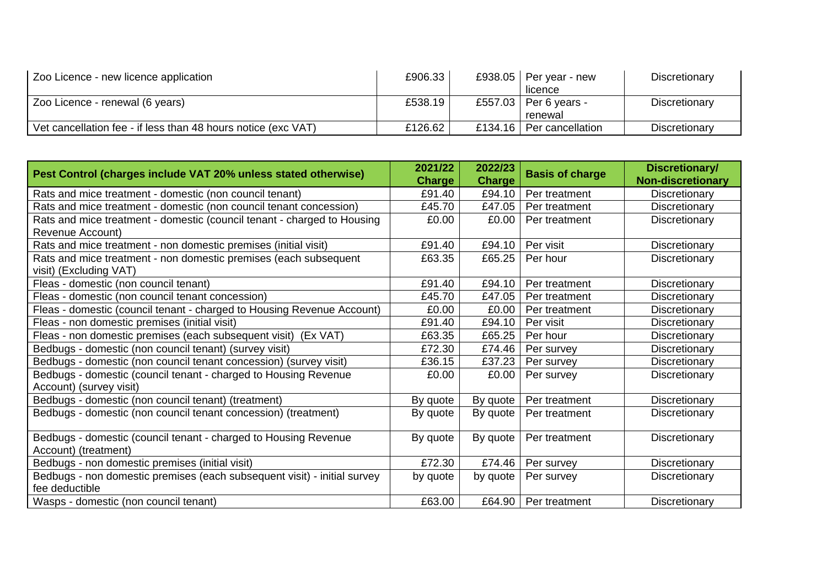| Zoo Licence - new licence application                         | £906.33 |         | £938.05   Per year - new | Discretionary |
|---------------------------------------------------------------|---------|---------|--------------------------|---------------|
|                                                               |         |         | licence                  |               |
| Zoo Licence - renewal (6 years)                               | £538.19 |         | £557.03   Per 6 years -  | Discretionary |
|                                                               |         |         | renewal                  |               |
| Vet cancellation fee - if less than 48 hours notice (exc VAT) | £126.62 | £134.16 | Per cancellation         | Discretionary |

| Pest Control (charges include VAT 20% unless stated otherwise)           | 2021/22<br><b>Charge</b> | 2022/23<br><b>Charge</b> | <b>Basis of charge</b> | Discretionary/<br><b>Non-discretionary</b> |
|--------------------------------------------------------------------------|--------------------------|--------------------------|------------------------|--------------------------------------------|
| Rats and mice treatment - domestic (non council tenant)                  | £91.40                   | £94.10                   | Per treatment          | Discretionary                              |
| Rats and mice treatment - domestic (non council tenant concession)       | £45.70                   | £47.05                   | Per treatment          | Discretionary                              |
| Rats and mice treatment - domestic (council tenant - charged to Housing  | £0.00                    | £0.00                    | Per treatment          | Discretionary                              |
| Revenue Account)                                                         |                          |                          |                        |                                            |
| Rats and mice treatment - non domestic premises (initial visit)          | £91.40                   | £94.10                   | Per visit              | Discretionary                              |
| Rats and mice treatment - non domestic premises (each subsequent         | £63.35                   | £65.25                   | Per hour               | Discretionary                              |
| visit) (Excluding VAT)                                                   |                          |                          |                        |                                            |
| Fleas - domestic (non council tenant)                                    | £91.40                   | £94.10                   | Per treatment          | Discretionary                              |
| Fleas - domestic (non council tenant concession)                         | £45.70                   | £47.05                   | Per treatment          | Discretionary                              |
| Fleas - domestic (council tenant - charged to Housing Revenue Account)   | £0.00                    | £0.00                    | Per treatment          | Discretionary                              |
| Fleas - non domestic premises (initial visit)                            | £91.40                   | £94.10                   | Per visit              | Discretionary                              |
| Fleas - non domestic premises (each subsequent visit) (Ex VAT)           | £63.35                   | £65.25                   | Per hour               | Discretionary                              |
| Bedbugs - domestic (non council tenant) (survey visit)                   | £72.30                   | £74.46                   | Per survey             | Discretionary                              |
| Bedbugs - domestic (non council tenant concession) (survey visit)        | £36.15                   | £37.23                   | Per survey             | Discretionary                              |
| Bedbugs - domestic (council tenant - charged to Housing Revenue          | £0.00                    | £0.00                    | Per survey             | Discretionary                              |
| Account) (survey visit)                                                  |                          |                          |                        |                                            |
| Bedbugs - domestic (non council tenant) (treatment)                      | By quote                 | By quote                 | Per treatment          | Discretionary                              |
| Bedbugs - domestic (non council tenant concession) (treatment)           | By quote                 | By quote                 | Per treatment          | Discretionary                              |
| Bedbugs - domestic (council tenant - charged to Housing Revenue          | By quote                 | By quote                 | Per treatment          | Discretionary                              |
| Account) (treatment)                                                     |                          |                          |                        |                                            |
| Bedbugs - non domestic premises (initial visit)                          | £72.30                   | £74.46                   | Per survey             | Discretionary                              |
| Bedbugs - non domestic premises (each subsequent visit) - initial survey | by quote                 | by quote                 | Per survey             | Discretionary                              |
| fee deductible                                                           |                          |                          |                        |                                            |
| Wasps - domestic (non council tenant)                                    | £63.00                   | £64.90                   | Per treatment          | Discretionary                              |